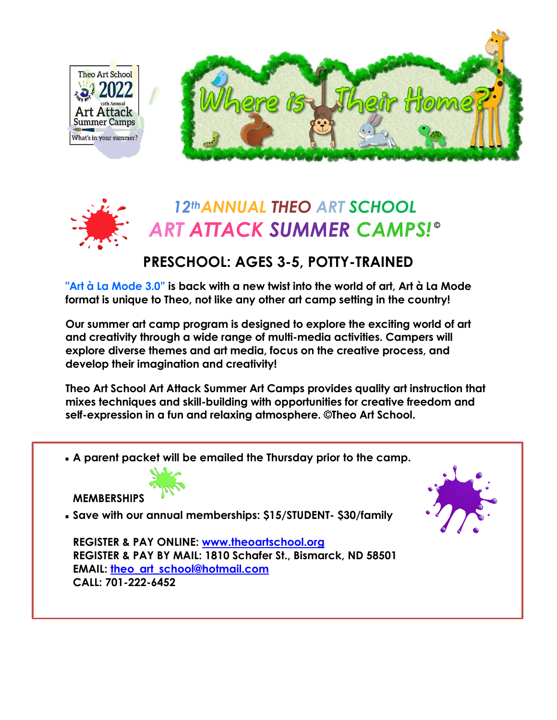





## **PRESCHOOL: AGES 3-5, POTTY-TRAINED**

**"Art à La Mode 3.0" is back with a new twist into the world of art, Art à La Mode format is unique to Theo, not like any other art camp setting in the country!**

**Our summer art camp program is designed to explore the exciting world of art and creativity through a wide range of multi-media activities. Campers will explore diverse themes and art media, focus on the creative process, and develop their imagination and creativity!**

**Theo Art School Art Attack Summer Art Camps provides quality art instruction that mixes techniques and skill-building with opportunities for creative freedom and self-expression in a fun and relaxing atmosphere. ©Theo Art School.**

**A parent packet will be emailed the Thursday prior to the camp.**



**MEMBERSHIPS**

**Save with our annual memberships: \$15/STUDENT- \$30/family**

**REGISTER & PAY ONLINE: [www.theoartschool.org](http://www.theoartschool.org/) REGISTER & PAY BY MAIL: 1810 Schafer St., Bismarck, ND 58501 EMAIL: [theo\\_art\\_school@hotmail.com](mailto:theo_art_school@hotmail.com) CALL: 701-222-6452**

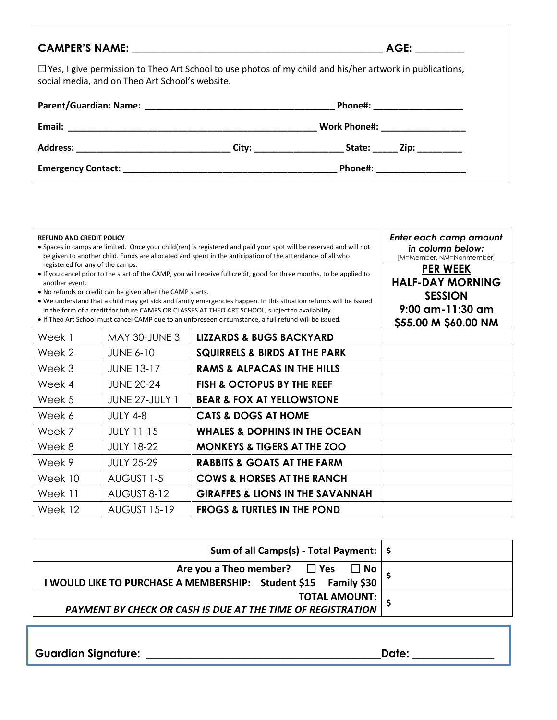|                                                 |                                 | AGE: ACCONNECT AND A                                                                                            |  |
|-------------------------------------------------|---------------------------------|-----------------------------------------------------------------------------------------------------------------|--|
| social media, and on Theo Art School's website. |                                 | $\Box$ Yes, I give permission to Theo Art School to use photos of my child and his/her artwork in publications, |  |
|                                                 |                                 |                                                                                                                 |  |
|                                                 | Work Phone#: __________________ |                                                                                                                 |  |
|                                                 |                                 |                                                                                                                 |  |
|                                                 |                                 | Phone#: ____________________                                                                                    |  |

| <b>REFUND AND CREDIT POLICY</b><br>• Spaces in camps are limited. Once your child(ren) is registered and paid your spot will be reserved and will not<br>be given to another child. Funds are allocated and spent in the anticipation of the attendance of all who<br>registered for any of the camps.<br>• If you cancel prior to the start of the CAMP, you will receive full credit, good for three months, to be applied to<br>another event.<br>• No refunds or credit can be given after the CAMP starts.<br>• We understand that a child may get sick and family emergencies happen. In this situation refunds will be issued<br>in the form of a credit for future CAMPS OR CLASSES AT THEO ART SCHOOL, subject to availability.<br>. If Theo Art School must cancel CAMP due to an unforeseen circumstance, a full refund will be issued. |                     |                                             | Enter each camp amount<br>in column below:<br>[M=Member, NM=Nonmember]<br><b>PER WEEK</b><br><b>HALF-DAY MORNING</b><br><b>SESSION</b><br>$9:00$ am-11:30 am<br>\$55.00 M \$60.00 NM |
|----------------------------------------------------------------------------------------------------------------------------------------------------------------------------------------------------------------------------------------------------------------------------------------------------------------------------------------------------------------------------------------------------------------------------------------------------------------------------------------------------------------------------------------------------------------------------------------------------------------------------------------------------------------------------------------------------------------------------------------------------------------------------------------------------------------------------------------------------|---------------------|---------------------------------------------|--------------------------------------------------------------------------------------------------------------------------------------------------------------------------------------|
| Week 1                                                                                                                                                                                                                                                                                                                                                                                                                                                                                                                                                                                                                                                                                                                                                                                                                                             | MAY 30-JUNE 3       | <b>LIZZARDS &amp; BUGS BACKYARD</b>         |                                                                                                                                                                                      |
| Week 2                                                                                                                                                                                                                                                                                                                                                                                                                                                                                                                                                                                                                                                                                                                                                                                                                                             | <b>JUNE 6-10</b>    | <b>SQUIRRELS &amp; BIRDS AT THE PARK</b>    |                                                                                                                                                                                      |
| Week 3                                                                                                                                                                                                                                                                                                                                                                                                                                                                                                                                                                                                                                                                                                                                                                                                                                             | <b>JUNE 13-17</b>   | <b>RAMS &amp; ALPACAS IN THE HILLS</b>      |                                                                                                                                                                                      |
| Week 4                                                                                                                                                                                                                                                                                                                                                                                                                                                                                                                                                                                                                                                                                                                                                                                                                                             | <b>JUNE 20-24</b>   | <b>FISH &amp; OCTOPUS BY THE REEF</b>       |                                                                                                                                                                                      |
| Week 5                                                                                                                                                                                                                                                                                                                                                                                                                                                                                                                                                                                                                                                                                                                                                                                                                                             | JUNE 27-JULY 1      | <b>BEAR &amp; FOX AT YELLOWSTONE</b>        |                                                                                                                                                                                      |
| Week 6                                                                                                                                                                                                                                                                                                                                                                                                                                                                                                                                                                                                                                                                                                                                                                                                                                             | <b>JULY 4-8</b>     | <b>CATS &amp; DOGS AT HOME</b>              |                                                                                                                                                                                      |
| Week 7                                                                                                                                                                                                                                                                                                                                                                                                                                                                                                                                                                                                                                                                                                                                                                                                                                             | <b>JULY 11-15</b>   | <b>WHALES &amp; DOPHINS IN THE OCEAN</b>    |                                                                                                                                                                                      |
| Week 8                                                                                                                                                                                                                                                                                                                                                                                                                                                                                                                                                                                                                                                                                                                                                                                                                                             | <b>JULY 18-22</b>   | <b>MONKEYS &amp; TIGERS AT THE ZOO</b>      |                                                                                                                                                                                      |
| Week 9                                                                                                                                                                                                                                                                                                                                                                                                                                                                                                                                                                                                                                                                                                                                                                                                                                             | <b>JULY 25-29</b>   | <b>RABBITS &amp; GOATS AT THE FARM</b>      |                                                                                                                                                                                      |
| Week 10                                                                                                                                                                                                                                                                                                                                                                                                                                                                                                                                                                                                                                                                                                                                                                                                                                            | AUGUST 1-5          | <b>COWS &amp; HORSES AT THE RANCH</b>       |                                                                                                                                                                                      |
| Week 11                                                                                                                                                                                                                                                                                                                                                                                                                                                                                                                                                                                                                                                                                                                                                                                                                                            | AUGUST 8-12         | <b>GIRAFFES &amp; LIONS IN THE SAVANNAH</b> |                                                                                                                                                                                      |
| Week 12                                                                                                                                                                                                                                                                                                                                                                                                                                                                                                                                                                                                                                                                                                                                                                                                                                            | <b>AUGUST 15-19</b> | <b>FROGS &amp; TURTLES IN THE POND</b>      |                                                                                                                                                                                      |

| Sum of all Camps(s) - Total Payment:   \$                                                                              |  |
|------------------------------------------------------------------------------------------------------------------------|--|
| Are you a Theo member? $\Box$ Yes $\Box$ No $\vert$<br>I WOULD LIKE TO PURCHASE A MEMBERSHIP: Student \$15 Family \$30 |  |
| TOTAL AMOUNT:<br>  PAYMENT BY CHECK OR CASH IS DUE AT THE TIME OF REGISTRATION                                         |  |

**Guardian Signature: \_\_\_\_\_\_\_\_\_\_\_\_\_\_\_\_\_\_\_\_\_\_\_\_\_\_\_\_\_\_\_\_\_\_\_\_\_\_\_\_\_\_\_Date: \_\_\_\_\_\_\_\_\_\_\_\_\_\_\_**